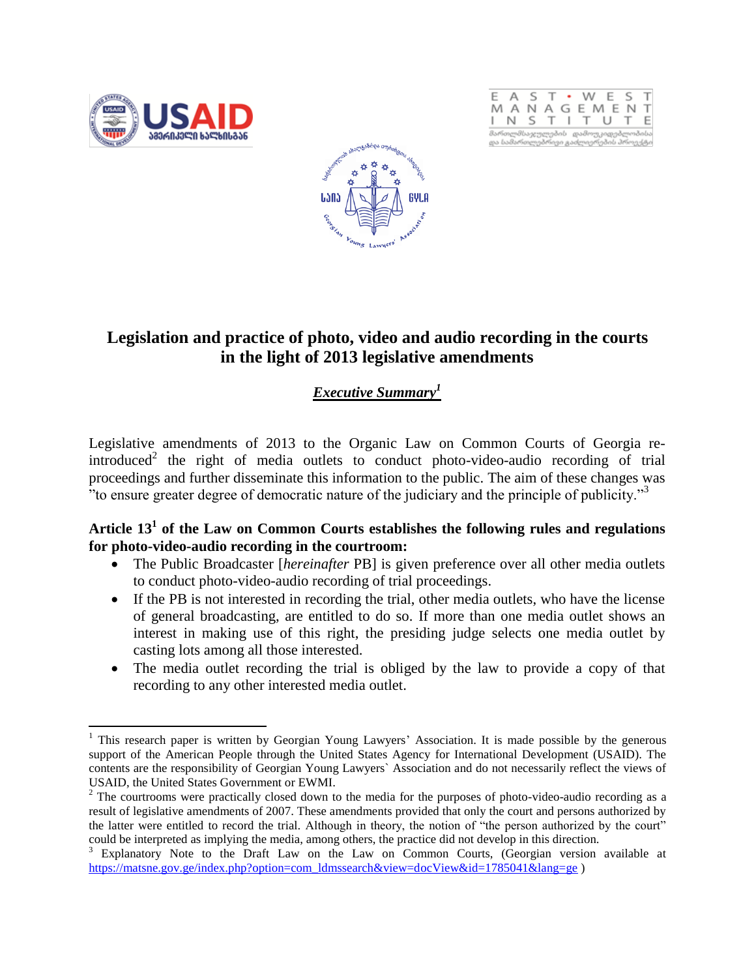





# **Legislation and practice of photo, video and audio recording in the courts in the light of 2013 legislative amendments**

## *Executive Summary<sup>1</sup>*

Legislative amendments of 2013 to the Organic Law on Common Courts of Georgia reintroduced<sup>2</sup> the right of media outlets to conduct photo-video-audio recording of trial proceedings and further disseminate this information to the public. The aim of these changes was "to ensure greater degree of democratic nature of the judiciary and the principle of publicity."<sup>3</sup>

### **Article 13<sup>1</sup> of the Law on Common Courts establishes the following rules and regulations for photo-video-audio recording in the courtroom:**

- The Public Broadcaster [*hereinafter* PB] is given preference over all other media outlets to conduct photo-video-audio recording of trial proceedings.
- If the PB is not interested in recording the trial, other media outlets, who have the license of general broadcasting, are entitled to do so. If more than one media outlet shows an interest in making use of this right, the presiding judge selects one media outlet by casting lots among all those interested.
- The media outlet recording the trial is obliged by the law to provide a copy of that recording to any other interested media outlet.

 $\overline{a}$  $1$  This research paper is written by Georgian Young Lawyers' Association. It is made possible by the generous support of the American People through the United States Agency for International Development (USAID). The contents are the responsibility of Georgian Young Lawyers` Association and do not necessarily reflect the views of USAID, the United States Government or EWMI.

<sup>&</sup>lt;sup>2</sup> The courtrooms were practically closed down to the media for the purposes of photo-video-audio recording as a result of legislative amendments of 2007. These amendments provided that only the court and persons authorized by the latter were entitled to record the trial. Although in theory, the notion of "the person authorized by the court" could be interpreted as implying the media, among others, the practice did not develop in this direction.

Explanatory Note to the Draft Law on the Law on Common Courts, (Georgian version available at [https://matsne.gov.ge/index.php?option=com\\_ldmssearch&view=docView&id=1785041&lang=ge](https://matsne.gov.ge/index.php?option=com_ldmssearch&view=docView&id=1785041&lang=ge) )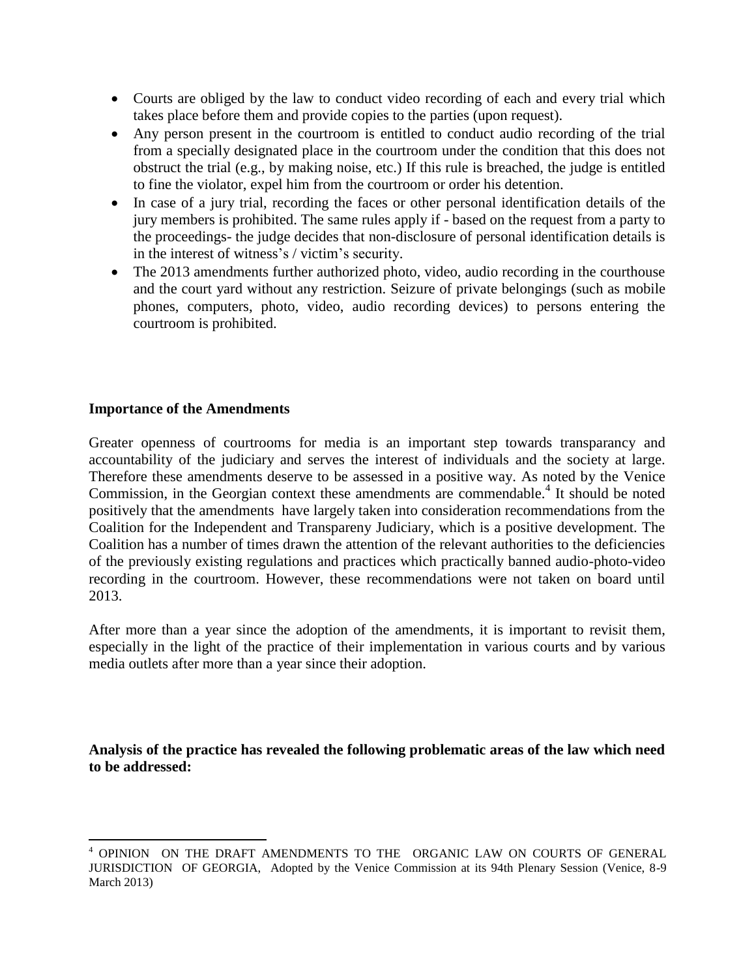- Courts are obliged by the law to conduct video recording of each and every trial which takes place before them and provide copies to the parties (upon request).
- Any person present in the courtroom is entitled to conduct audio recording of the trial from a specially designated place in the courtroom under the condition that this does not obstruct the trial (e.g., by making noise, etc.) If this rule is breached, the judge is entitled to fine the violator, expel him from the courtroom or order his detention.
- In case of a jury trial, recording the faces or other personal identification details of the jury members is prohibited. The same rules apply if - based on the request from a party to the proceedings- the judge decides that non-disclosure of personal identification details is in the interest of witness's / victim's security.
- The 2013 amendments further authorized photo, video, audio recording in the courthouse and the court yard without any restriction. Seizure of private belongings (such as mobile phones, computers, photo, video, audio recording devices) to persons entering the courtroom is prohibited.

#### **Importance of the Amendments**

 $\overline{\phantom{a}}$ 

Greater openness of courtrooms for media is an important step towards transparancy and accountability of the judiciary and serves the interest of individuals and the society at large. Therefore these amendments deserve to be assessed in a positive way. As noted by the Venice Commission, in the Georgian context these amendments are commendable.<sup>4</sup> It should be noted positively that the amendments have largely taken into consideration recommendations from the Coalition for the Independent and Transpareny Judiciary, which is a positive development. The Coalition has a number of times drawn the attention of the relevant authorities to the deficiencies of the previously existing regulations and practices which practically banned audio-photo-video recording in the courtroom. However, these recommendations were not taken on board until 2013.

After more than a year since the adoption of the amendments, it is important to revisit them, especially in the light of the practice of their implementation in various courts and by various media outlets after more than a year since their adoption.

**Analysis of the practice has revealed the following problematic areas of the law which need to be addressed:**

<sup>4</sup> OPINION ON THE DRAFT AMENDMENTS TO THE ORGANIC LAW ON COURTS OF GENERAL JURISDICTION OF GEORGIA, Adopted by the Venice Commission at its 94th Plenary Session (Venice, 8-9 March 2013)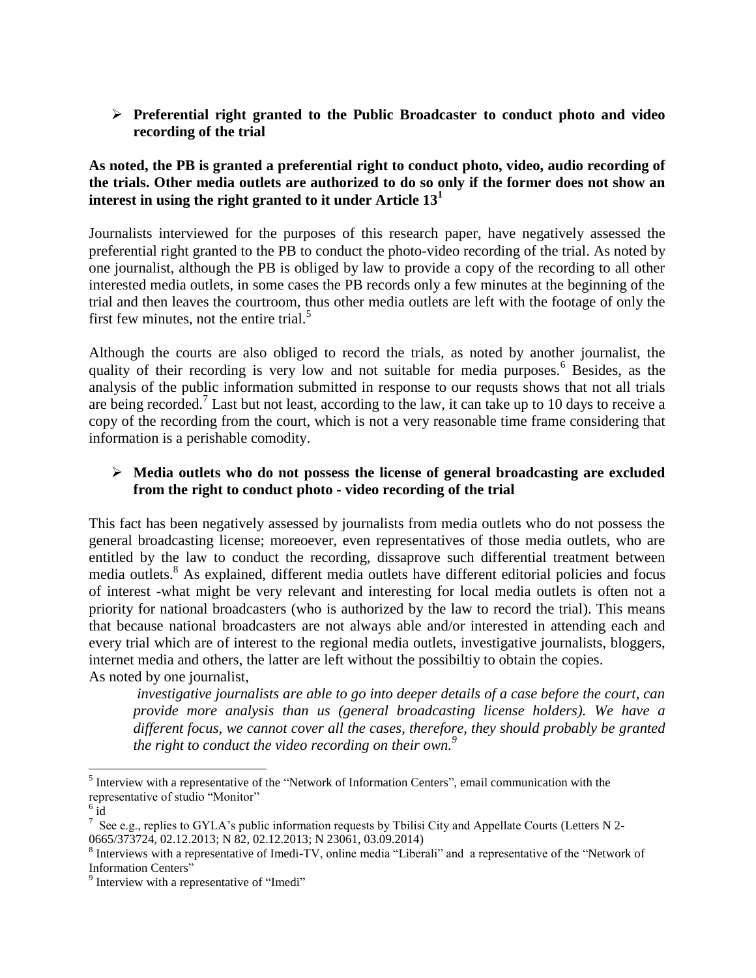**Preferential right granted to the Public Broadcaster to conduct photo and video recording of the trial**

#### **As noted, the PB is granted a preferential right to conduct photo, video, audio recording of the trials. Other media outlets are authorized to do so only if the former does not show an interest in using the right granted to it under Article 13<sup>1</sup>**

Journalists interviewed for the purposes of this research paper, have negatively assessed the preferential right granted to the PB to conduct the photo-video recording of the trial. As noted by one journalist, although the PB is obliged by law to provide a copy of the recording to all other interested media outlets, in some cases the PB records only a few minutes at the beginning of the trial and then leaves the courtroom, thus other media outlets are left with the footage of only the first few minutes, not the entire trial. $<sup>5</sup>$ </sup>

Although the courts are also obliged to record the trials, as noted by another journalist, the quality of their recording is very low and not suitable for media purposes.<sup>6</sup> Besides, as the analysis of the public information submitted in response to our requsts shows that not all trials are being recorded.<sup>7</sup> Last but not least, according to the law, it can take up to 10 days to receive a copy of the recording from the court, which is not a very reasonable time frame considering that information is a perishable comodity.

#### **Media outlets who do not possess the license of general broadcasting are excluded from the right to conduct photo - video recording of the trial**

This fact has been negatively assessed by journalists from media outlets who do not possess the general broadcasting license; moreoever, even representatives of those media outlets, who are entitled by the law to conduct the recording, dissaprove such differential treatment between media outlets.<sup>8</sup> As explained, different media outlets have different editorial policies and focus of interest -what might be very relevant and interesting for local media outlets is often not a priority for national broadcasters (who is authorized by the law to record the trial). This means that because national broadcasters are not always able and/or interested in attending each and every trial which are of interest to the regional media outlets, investigative journalists, bloggers, internet media and others, the latter are left without the possibiltiy to obtain the copies. As noted by one journalist,

*investigative journalists are able to go into deeper details of a case before the court, can provide more analysis than us (general broadcasting license holders). We have a different focus, we cannot cover all the cases, therefore, they should probably be granted the right to conduct the video recording on their own. 9*

 $\overline{a}$ 

<sup>&</sup>lt;sup>5</sup> Interview with a representative of the "Network of Information Centers", email communication with the representative of studio "Monitor"

 $6\,\mathrm{i}\mathrm{d}$ 

<sup>&</sup>lt;sup>7</sup> See e.g., replies to GYLA's public information requests by Tbilisi City and Appellate Courts (Letters N 2-0665/373724, 02.12.2013; N 82, 02.12.2013; N 23061, 03.09.2014)

<sup>&</sup>lt;sup>8</sup> Interviews with a representative of Imedi-TV, online media "Liberali" and a representative of the "Network of Information Centers"

<sup>&</sup>lt;sup>9</sup> Interview with a representative of "Imedi"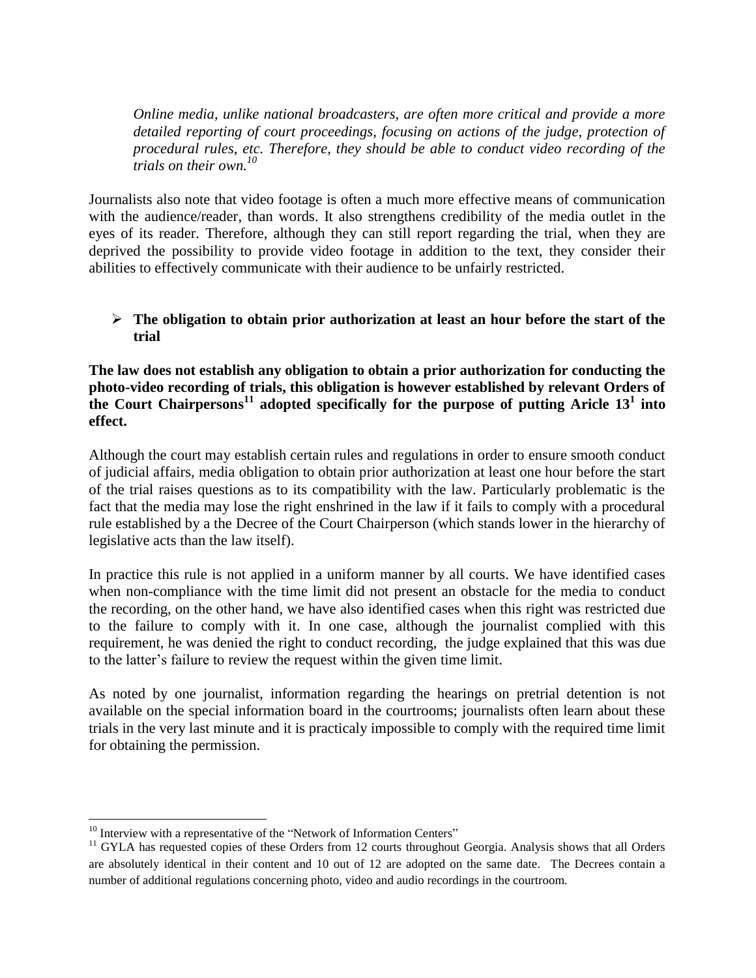*Online media, unlike national broadcasters, are often more critical and provide a more*  detailed reporting of court proceedings, focusing on actions of the judge, protection of *procedural rules, etc. Therefore, they should be able to conduct video recording of the trials on their own.<sup>10</sup>*

Journalists also note that video footage is often a much more effective means of communication with the audience/reader, than words. It also strengthens credibility of the media outlet in the eyes of its reader. Therefore, although they can still report regarding the trial, when they are deprived the possibility to provide video footage in addition to the text, they consider their abilities to effectively communicate with their audience to be unfairly restricted.

#### **The obligation to obtain prior authorization at least an hour before the start of the trial**

**The law does not establish any obligation to obtain a prior authorization for conducting the photo-video recording of trials, this obligation is however established by relevant Orders of the Court Chairpersons<sup>11</sup> adopted specifically for the purpose of putting Aricle 13<sup>1</sup> into effect.**

Although the court may establish certain rules and regulations in order to ensure smooth conduct of judicial affairs, media obligation to obtain prior authorization at least one hour before the start of the trial raises questions as to its compatibility with the law. Particularly problematic is the fact that the media may lose the right enshrined in the law if it fails to comply with a procedural rule established by a the Decree of the Court Chairperson (which stands lower in the hierarchy of legislative acts than the law itself).

In practice this rule is not applied in a uniform manner by all courts. We have identified cases when non-compliance with the time limit did not present an obstacle for the media to conduct the recording, on the other hand, we have also identified cases when this right was restricted due to the failure to comply with it. In one case, although the journalist complied with this requirement, he was denied the right to conduct recording, the judge explained that this was due to the latter's failure to review the request within the given time limit.

As noted by one journalist, information regarding the hearings on pretrial detention is not available on the special information board in the courtrooms; journalists often learn about these trials in the very last minute and it is practicaly impossible to comply with the required time limit for obtaining the permission.

 $\overline{\phantom{a}}$ 

 $10$  Interview with a representative of the "Network of Information Centers"

<sup>&</sup>lt;sup>11</sup> GYLA has requested copies of these Orders from 12 courts throughout Georgia. Analysis shows that all Orders are absolutely identical in their content and 10 out of 12 are adopted on the same date. The Decrees contain a number of additional regulations concerning photo, video and audio recordings in the courtroom.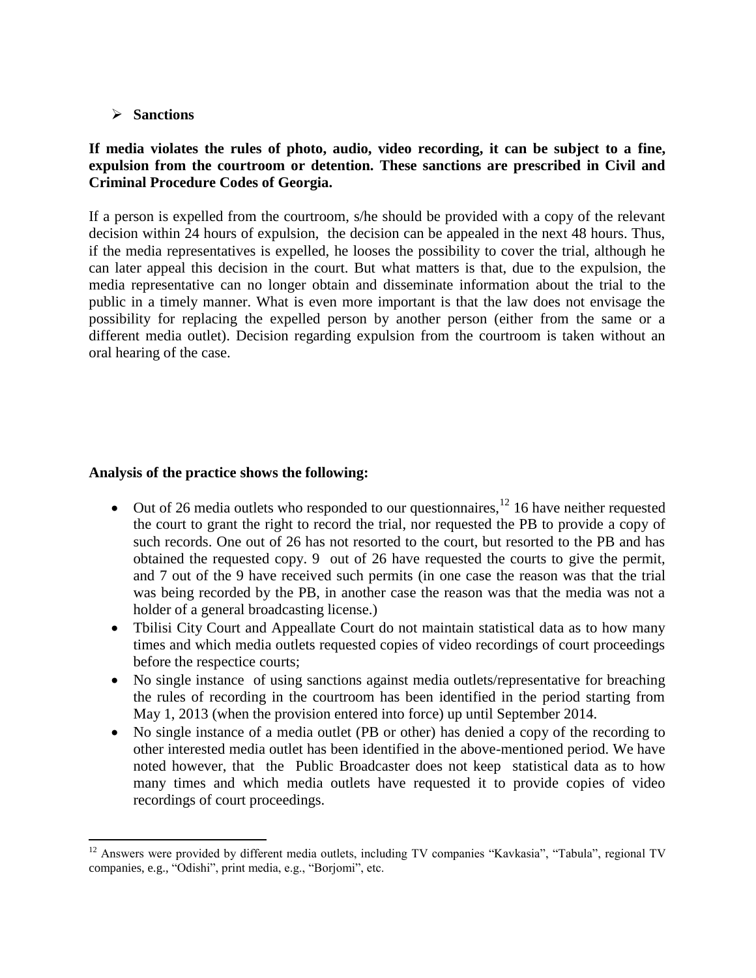#### **Sanctions**

#### **If media violates the rules of photo, audio, video recording, it can be subject to a fine, expulsion from the courtroom or detention. These sanctions are prescribed in Civil and Criminal Procedure Codes of Georgia.**

If a person is expelled from the courtroom, s/he should be provided with a copy of the relevant decision within 24 hours of expulsion, the decision can be appealed in the next 48 hours. Thus, if the media representatives is expelled, he looses the possibility to cover the trial, although he can later appeal this decision in the court. But what matters is that, due to the expulsion, the media representative can no longer obtain and disseminate information about the trial to the public in a timely manner. What is even more important is that the law does not envisage the possibility for replacing the expelled person by another person (either from the same or a different media outlet). Decision regarding expulsion from the courtroom is taken without an oral hearing of the case.

#### **Analysis of the practice shows the following:**

- $\bullet$  Out of 26 media outlets who responded to our questionnaires,  $^{12}$  16 have neither requested the court to grant the right to record the trial, nor requested the PB to provide a copy of such records. One out of 26 has not resorted to the court, but resorted to the PB and has obtained the requested copy. 9 out of 26 have requested the courts to give the permit, and 7 out of the 9 have received such permits (in one case the reason was that the trial was being recorded by the PB, in another case the reason was that the media was not a holder of a general broadcasting license.)
- Tbilisi City Court and Appeallate Court do not maintain statistical data as to how many times and which media outlets requested copies of video recordings of court proceedings before the respectice courts;
- No single instance of using sanctions against media outlets/representative for breaching the rules of recording in the courtroom has been identified in the period starting from May 1, 2013 (when the provision entered into force) up until September 2014.
- No single instance of a media outlet (PB or other) has denied a copy of the recording to other interested media outlet has been identified in the above-mentioned period. We have noted however, that the Public Broadcaster does not keep statistical data as to how many times and which media outlets have requested it to provide copies of video recordings of court proceedings.

 $\overline{\phantom{a}}$ <sup>12</sup> Answers were provided by different media outlets, including TV companies "Kavkasia", "Tabula", regional TV companies, e.g., "Odishi", print media, e.g., "Borjomi", etc.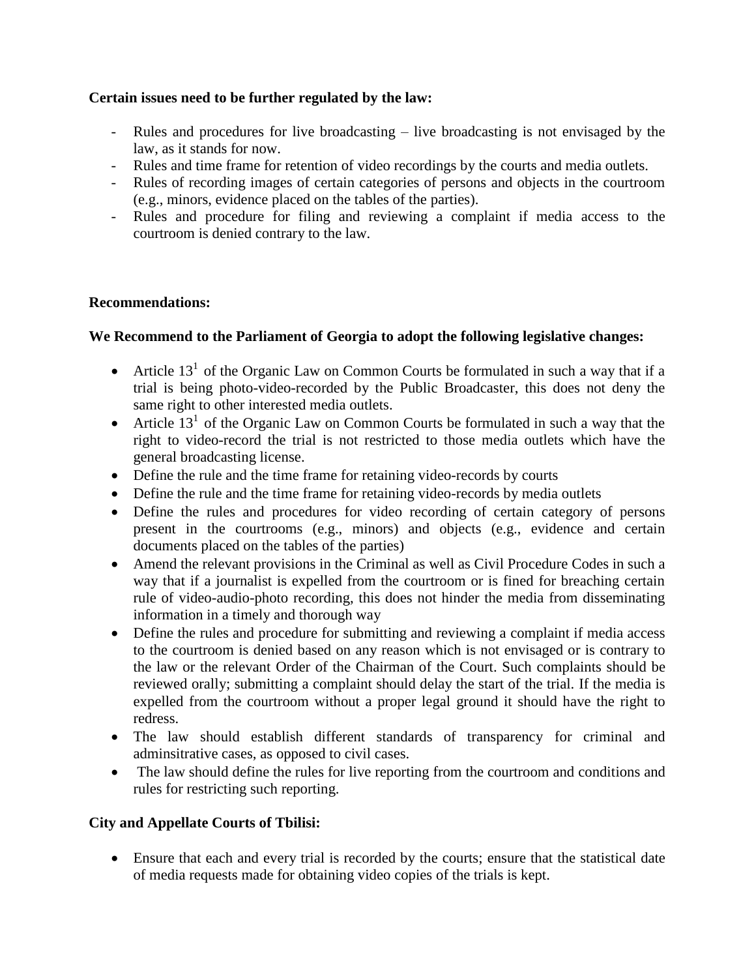#### **Certain issues need to be further regulated by the law:**

- Rules and procedures for live broadcasting live broadcasting is not envisaged by the law, as it stands for now.
- Rules and time frame for retention of video recordings by the courts and media outlets.
- Rules of recording images of certain categories of persons and objects in the courtroom (e.g., minors, evidence placed on the tables of the parties).
- Rules and procedure for filing and reviewing a complaint if media access to the courtroom is denied contrary to the law.

#### **Recommendations:**

#### **We Recommend to the Parliament of Georgia to adopt the following legislative changes:**

- Article  $13<sup>1</sup>$  of the Organic Law on Common Courts be formulated in such a way that if a trial is being photo-video-recorded by the Public Broadcaster, this does not deny the same right to other interested media outlets.
- Article  $13<sup>1</sup>$  of the Organic Law on Common Courts be formulated in such a way that the right to video-record the trial is not restricted to those media outlets which have the general broadcasting license.
- Define the rule and the time frame for retaining video-records by courts
- Define the rule and the time frame for retaining video-records by media outlets
- Define the rules and procedures for video recording of certain category of persons present in the courtrooms (e.g., minors) and objects (e.g., evidence and certain documents placed on the tables of the parties)
- Amend the relevant provisions in the Criminal as well as Civil Procedure Codes in such a way that if a journalist is expelled from the courtroom or is fined for breaching certain rule of video-audio-photo recording, this does not hinder the media from disseminating information in a timely and thorough way
- Define the rules and procedure for submitting and reviewing a complaint if media access to the courtroom is denied based on any reason which is not envisaged or is contrary to the law or the relevant Order of the Chairman of the Court. Such complaints should be reviewed orally; submitting a complaint should delay the start of the trial. If the media is expelled from the courtroom without a proper legal ground it should have the right to redress.
- The law should establish different standards of transparency for criminal and adminsitrative cases, as opposed to civil cases.
- The law should define the rules for live reporting from the courtroom and conditions and rules for restricting such reporting.

#### **City and Appellate Courts of Tbilisi:**

 Ensure that each and every trial is recorded by the courts; ensure that the statistical date of media requests made for obtaining video copies of the trials is kept.